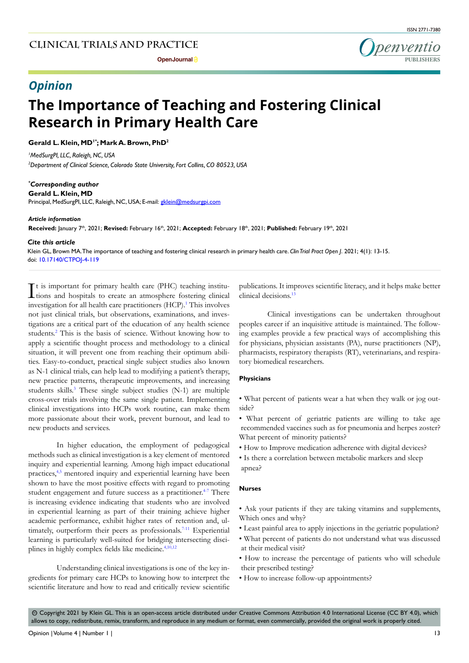

# *Opinion*

# **The Importance of Teaching and Fostering Clinical Research in Primary Health Care**

Gerald L. Klein, MD<sup>1\*</sup>; Mark A. Brown, PhD<sup>2</sup>

*1 MedSurgPI, LLC, Raleigh, NC, USA 2 Department of Clinical Science, Colorado State University, Fort Collins, CO 80523, USA*

*\* Corresponding author*

**Gerald L. Klein, MD** Principal, MedSurgPI, LLC, Raleigh, NC, USA; E-mail: gklein@medsurgpi.com

*Article information*

Received: January 7<sup>th</sup>, 2021; Revised: February 16<sup>th</sup>, 2021; Accepted: February 18<sup>th</sup>, 2021; Published: February 19<sup>th</sup>, 2021

#### *Cite this article*

Klein GL, Brown MA. The importance of teaching and fostering clinical research in primary health care. *Clin Trial Pract Open J*. 2021; 4(1): 13-15. doi: [10.17140/CTPOJ-4-119](http://dx.doi.org/10.17140/CTPOJ-4-119)

It is important for primary health care (PHC) teaching institu-<br>tions and hospitals to create an atmosphere fostering clinical tions and hospitals to create an atmosphere fostering clinical investigation for all health care practitioners (HCP).<sup>1</sup> This involves not just clinical trials, but observations, examinations, and investigations are a critical part of the education of any health science students[.2](#page-1-1) This is the basis of science. Without knowing how to apply a scientific thought process and methodology to a clinical situation, it will prevent one from reaching their optimum abilities. Easy-to-conduct, practical single subject studies also known as N-1 clinical trials, can help lead to modifying a patient's therapy, new practice patterns, therapeutic improvements, and increasing students skills.<sup>3</sup> These single subject studies (N-1) are multiple cross-over trials involving the same single patient. Implementing clinical investigations into HCPs work routine, can make them more passionate about their work, prevent burnout, and lead to new products and services.

In higher education, the employment of pedagogical methods such as clinical investigation is a key element of mentored inquiry and experiential learning. Among high impact educational practices,[4,5](#page-1-3) mentored inquiry and experiential learning have been shown to have the most positive effects with regard to promoting student engagement and future success as a practitioner.<sup>4-7</sup> There is increasing evidence indicating that students who are involved in experiential learning as part of their training achieve higher academic performance, exhibit higher rates of retention and, ultimately, outperform their peers as professionals.<sup>7-11</sup> Experiential learning is particularly well-suited for bridging intersecting disci-plines in highly complex fields like medicine.<sup>[4,](#page-1-3)[10,](#page-2-0)[12](#page-2-1)</sup>

Understanding clinical investigations is one of the key ingredients for primary care HCPs to knowing how to interpret the scientific literature and how to read and critically review scientific

publications. It improves scientific literacy, and it helps make better clinical decisions.<sup>[13](#page-2-2)</sup>

Clinical investigations can be undertaken throughout peoples career if an inquisitive attitude is maintained. The following examples provide a few practical ways of accomplishing this for physicians, physician assistants (PA), nurse practitioners (NP), pharmacists, respiratory therapists (RT), veterinarians, and respiratory biomedical researchers.

#### **Physicians**

- What percent of patients wear a hat when they walk or jog outside?
- What percent of geriatric patients are willing to take age recommended vaccines such as for pneumonia and herpes zoster? What percent of minority patients?
- How to Improve medication adherence with digital devices?
- Is there a correlation between metabolic markers and sleep apnea?

#### **Nurses**

- Ask your patients if they are taking vitamins and supplements, Which ones and why?
- Least painful area to apply injections in the geriatric population?
- What percent of patients do not understand what was discussed at their medical visit?
- How to increase the percentage of patients who will schedule their prescribed testing?
- How to increase follow-up appointments?

 $\circledcirc$  Copyright 2021 by Klein GL. This is an open-access article distributed under Creative Commons Attribution 4.0 International License (CC BY 4.0), which allows to copy, redistribute, remix, transform, and reproduce in any medium or format, even commercially, provided the original work is properly cited.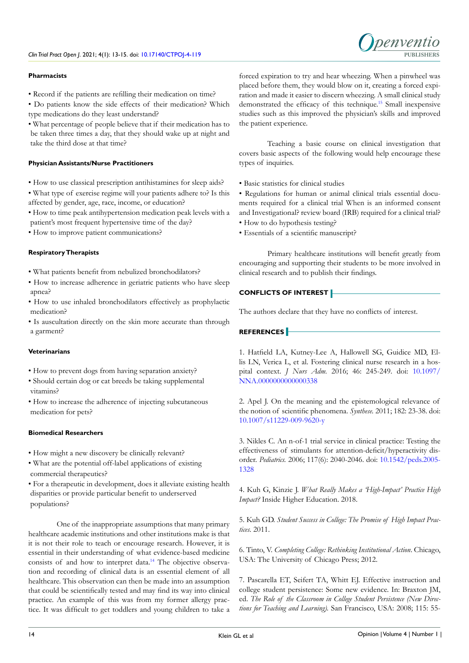## **Pharmacists**

• Record if the patients are refilling their medication on time?

• Do patients know the side effects of their medication? Which type medications do they least understand?

• What percentage of people believe that if their medication has to be taken three times a day, that they should wake up at night and take the third dose at that time?

#### **Physician Assistants/Nurse Practitioners**

- How to use classical prescription antihistamines for sleep aids?
- What type of exercise regime will your patients adhere to? Is this affected by gender, age, race, income, or education?
- How to time peak antihypertension medication peak levels with a patient's most frequent hypertensive time of the day?
- How to improve patient communications?

## **Respiratory Therapists**

- What patients benefit from nebulized bronchodilators?
- How to increase adherence in geriatric patients who have sleep apnea?
- How to use inhaled bronchodilators effectively as prophylactic medication?
- Is auscultation directly on the skin more accurate than through a garment?

#### **Veterinarians**

- How to prevent dogs from having separation anxiety?
- Should certain dog or cat breeds be taking supplemental vitamins?
- How to increase the adherence of injecting subcutaneous medication for pets?

#### **Biomedical Researchers**

- How might a new discovery be clinically relevant?
- What are the potential off-label applications of existing commercial therapeutics?

• For a therapeutic in development, does it alleviate existing health disparities or provide particular benefit to underserved populations?

One of the inappropriate assumptions that many primary healthcare academic institutions and other institutions make is that it is not their role to teach or encourage research. However, it is essential in their understanding of what evidence-based medicine consists of and how to interpret data.<sup>[14](#page-2-3)</sup> The objective observation and recording of clinical data is an essential element of all healthcare. This observation can then be made into an assumption that could be scientifically tested and may find its way into clinical practice. An example of this was from my former allergy practice. It was difficult to get toddlers and young children to take a

forced expiration to try and hear wheezing. When a pinwheel was placed before them, they would blow on it, creating a forced expiration and made it easier to discern wheezing. A small clinical study demonstrated the efficacy of this technique.[15](#page-2-4) Small inexpensive studies such as this improved the physician's skills and improved the patient experience.

Teaching a basic course on clinical investigation that covers basic aspects of the following would help encourage these types of inquiries.

• Basic statistics for clinical studies

• Regulations for human or animal clinical trials essential documents required for a clinical trial When is an informed consent and Investigational? review board (IRB) required for a clinical trial?

- How to do hypothesis testing?
- Essentials of a scientific manuscript?

Primary healthcare institutions will benefit greatly from encouraging and supporting their students to be more involved in clinical research and to publish their findings.

# **CONFLICTS OF INTEREST**

The authors declare that they have no conflicts of interest.

# **REFERENCES**

<span id="page-1-0"></span>1. Hatfield LA, Kutney-Lee A, Hallowell SG, Guidice MD, Ellis LN, Verica L, et al. Fostering clinical nurse research in a hospital context. *J Nurs Adm.* 2016; 46: 245-249. doi: [10.1097/](http://doi.org/10.1097/NNA.0000000000000338) [NNA.0000000000000338](http://doi.org/10.1097/NNA.0000000000000338)

<span id="page-1-1"></span>2. Apel J. On the meaning and the epistemological relevance of the notion of scientific phenomena. *Synthese.* 2011; 182: 23-38. doi: [10.1007/s11229-009-9620-y](http://doi.org/10.1007/s11229-009-9620-y)

<span id="page-1-2"></span>3. Nikles C. An n-of-1 trial service in clinical practice: Testing the effectiveness of stimulants for attention-deficit/hyperactivity disorder. *Pediatrics.* 2006; 117(6): 2040-2046. doi: [10.1542/peds.2005-](http://doi.org/10.1542/peds.2005-1328) [1328](http://doi.org/10.1542/peds.2005-1328)

<span id="page-1-3"></span>4. Kuh G, Kinzie J. *What Really Makes a 'High-Impact' Practice High Impact?* Inside Higher Education. 2018.

5. Kuh GD. *Student Success in College: The Promise of High Impact Practices*. 2011.

6. Tinto, V. *Completing College: Rethinking Institutional Action*. Chicago, USA: The University of Chicago Press; 2012.

<span id="page-1-4"></span>7. Pascarella ET, Seifert TA, Whitt EJ. Effective instruction and college student persistence: Some new evidence. In: Braxton JM, ed. *The Role of the Classroom in College Student Persistence (New Directions for Teaching and Learning).* San Francisco, USA: 2008; 115: 55-